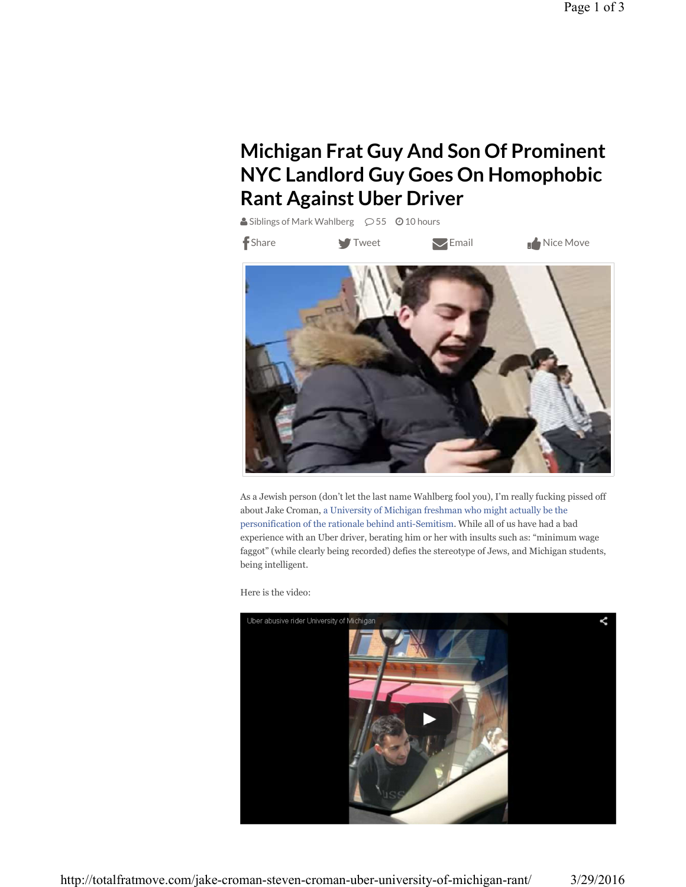## **Michigan Frat Guy And Son Of Prominent NYC Landlord Guy Goes On Homophobic Rant Against Uber Driver**

Siblings of Mark Wahlberg  $\oslash$  55  $\odot$  10 hours

f Share **State** Tweet

 $\bigvee$  Email  $\qquad \qquad$  Nice Move



As a Jewish person (don't let the last name Wahlberg fool you), I'm really fucking pissed off about Jake Croman, a University of Michigan freshman who might actually be the personification of the rationale behind anti-Semitism. While all of us have had a bad experience with an Uber driver, berating him or her with insults such as: "minimum wage faggot" (while clearly being recorded) defies the stereotype of Jews, and Michigan students, being intelligent.

Here is the video:

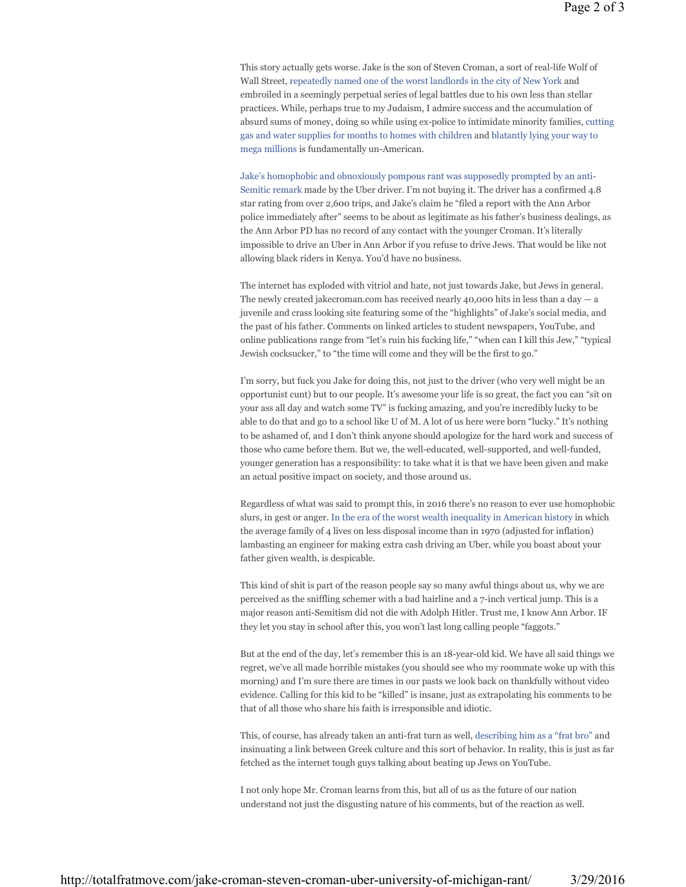This story actually gets worse. Jake is the son of Steven Croman, a sort of real-life Wolf of Wall Street, repeatedly named one of the worst landlords in the city of New York and embroiled in a seemingly perpetual series of legal battles due to his own less than stellar practices. While, perhaps true to my Judaism, I admire success and the accumulation of absurd sums of money, doing so while using ex-police to intimidate minority families, cutting gas and water supplies for months to homes with children and blatantly lying your way to mega millions is fundamentally un-American.

Jake's homophobic and obnoxiously pompous rant was supposedly prompted by an anti-Semitic remark made by the Uber driver. I'm not buying it. The driver has a confirmed 4.8 star rating from over 2,600 trips, and Jake's claim he "filed a report with the Ann Arbor police immediately after" seems to be about as legitimate as his father's business dealings, as the Ann Arbor PD has no record of any contact with the younger Croman. It's literally impossible to drive an Uber in Ann Arbor if you refuse to drive Jews. That would be like not allowing black riders in Kenya. You'd have no business.

The internet has exploded with vitriol and hate, not just towards Jake, but Jews in general. The newly created jakecroman.com has received nearly 40,000 hits in less than a day  $- a$ juvenile and crass looking site featuring some of the "highlights" of Jake's social media, and the past of his father. Comments on linked articles to student newspapers, YouTube, and online publications range from "let's ruin his fucking life," "when can I kill this Jew," "typical Jewish cocksucker," to "the time will come and they will be the first to go."

I'm sorry, but fuck you Jake for doing this, not just to the driver (who very well might be an opportunist cunt) but to our people. It's awesome your life is so great, the fact you can "sit on your ass all day and watch some TV" is fucking amazing, and you're incredibly lucky to be able to do that and go to a school like U of M. A lot of us here were born "lucky." It's nothing to be ashamed of, and I don't think anyone should apologize for the hard work and success of those who came before them. But we, the well-educated, well-supported, and well-funded, younger generation has a responsibility: to take what it is that we have been given and make an actual positive impact on society, and those around us.

Regardless of what was said to prompt this, in 2016 there's no reason to ever use homophobic slurs, in gest or anger. In the era of the worst wealth inequality in American history in which the average family of 4 lives on less disposal income than in 1970 (adjusted for inflation) lambasting an engineer for making extra cash driving an Uber, while you boast about your father given wealth, is despicable.

This kind of shit is part of the reason people say so many awful things about us, why we are perceived as the sniffling schemer with a bad hairline and a 7-inch vertical jump. This is a major reason anti-Semitism did not die with Adolph Hitler. Trust me, I know Ann Arbor. IF they let you stay in school after this, you won't last long calling people "faggots."

But at the end of the day, let's remember this is an 18-year-old kid. We have all said things we regret, we've all made horrible mistakes (you should see who my roommate woke up with this morning) and I'm sure there are times in our pasts we look back on thankfully without video evidence. Calling for this kid to be "killed" is insane, just as extrapolating his comments to be that of all those who share his faith is irresponsible and idiotic.

This, of course, has already taken an anti-frat turn as well, describing him as a "frat bro" and insinuating a link between Greek culture and this sort of behavior. In reality, this is just as far fetched as the internet tough guys talking about beating up Jews on YouTube.

I not only hope Mr. Croman learns from this, but all of us as the future of our nation understand not just the disgusting nature of his comments, but of the reaction as well.